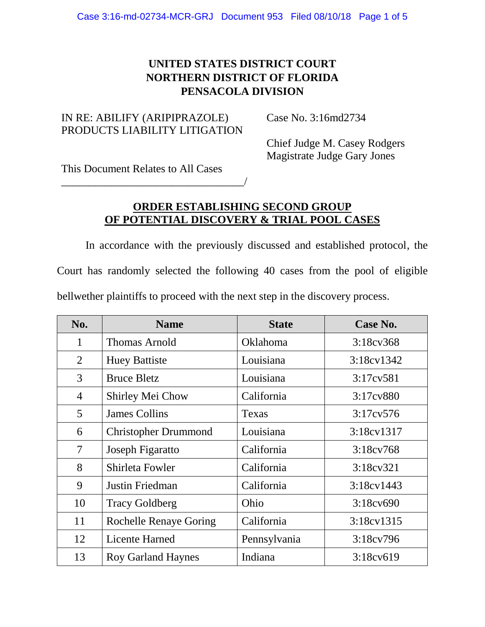# **UNITED STATES DISTRICT COURT NORTHERN DISTRICT OF FLORIDA PENSACOLA DIVISION**

### IN RE: ABILIFY (ARIPIPRAZOLE) PRODUCTS LIABILITY LITIGATION

\_\_\_\_\_\_\_\_\_\_\_\_\_\_\_\_\_\_\_\_\_\_\_\_\_\_\_\_\_\_\_\_\_/

Case No. 3:16md2734

Chief Judge M. Casey Rodgers Magistrate Judge Gary Jones

This Document Relates to All Cases

## **ORDER ESTABLISHING SECOND GROUP OF POTENTIAL DISCOVERY & TRIAL POOL CASES**

In accordance with the previously discussed and established protocol, the Court has randomly selected the following 40 cases from the pool of eligible bellwether plaintiffs to proceed with the next step in the discovery process.

| No.            | <b>Name</b>                   | <b>State</b> | Case No.               |
|----------------|-------------------------------|--------------|------------------------|
| $\mathbf{1}$   | <b>Thomas Arnold</b>          | Oklahoma     | 3:18c <sub>V</sub> 368 |
| 2              | <b>Huey Battiste</b>          | Louisiana    | $3:18 \text{cv} 1342$  |
| 3              | <b>Bruce Bletz</b>            | Louisiana    | 3:17cv581              |
| $\overline{4}$ | Shirley Mei Chow              | California   | 3:17cv880              |
| 5              | <b>James Collins</b>          | Texas        | 3:17cv576              |
| 6              | <b>Christopher Drummond</b>   | Louisiana    | 3:18cv1317             |
| 7              | Joseph Figaratto              | California   | 3:18c <sub>V</sub> 768 |
| 8              | Shirleta Fowler               | California   | 3:18c <sub>V</sub> 321 |
| 9              | Justin Friedman               | California   | $3:18 \text{cv} 1443$  |
| 10             | <b>Tracy Goldberg</b>         | Ohio         | $3:18c\sqrt{690}$      |
| 11             | <b>Rochelle Renaye Goring</b> | California   | 3:18 cv 1315           |
| 12             | Licente Harned                | Pennsylvania | 3:18cv796              |
| 13             | <b>Roy Garland Haynes</b>     | Indiana      | 3:18cv619              |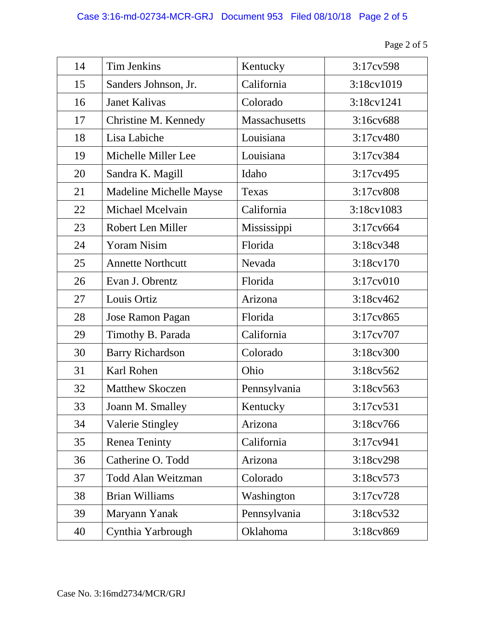| Page 2 of 5 |  |
|-------------|--|
|-------------|--|

| 14 | <b>Tim Jenkins</b>       | Kentucky      | 3:17cv598         |
|----|--------------------------|---------------|-------------------|
| 15 | Sanders Johnson, Jr.     | California    | 3:18cv1019        |
| 16 | <b>Janet Kalivas</b>     | Colorado      | 3:18cv1241        |
| 17 | Christine M. Kennedy     | Massachusetts | 3:16cv688         |
| 18 | Lisa Labiche             | Louisiana     | 3:17cv480         |
| 19 | Michelle Miller Lee      | Louisiana     | 3:17cv384         |
| 20 | Sandra K. Magill         | Idaho         | 3:17cv495         |
| 21 | Madeline Michelle Mayse  | Texas         | 3:17cv808         |
| 22 | Michael Mcelvain         | California    | 3:18cv1083        |
| 23 | Robert Len Miller        | Mississippi   | 3:17cv664         |
| 24 | <b>Yoram Nisim</b>       | Florida       | 3:18cv348         |
| 25 | <b>Annette Northcutt</b> | Nevada        | 3:18cv170         |
| 26 | Evan J. Obrentz          | Florida       | 3:17cv010         |
| 27 | Louis Ortiz              | Arizona       | 3:18cv462         |
| 28 | <b>Jose Ramon Pagan</b>  | Florida       | 3:17cv865         |
| 29 | Timothy B. Parada        | California    | 3:17cv707         |
| 30 | <b>Barry Richardson</b>  | Colorado      | 3:18cv300         |
| 31 | <b>Karl Rohen</b>        | Ohio          | 3:18cv562         |
| 32 | <b>Matthew Skoczen</b>   | Pennsylvania  | $3:18c\sqrt{563}$ |
| 33 | Joann M. Smalley         | Kentucky      | 3:17cv531         |
| 34 | <b>Valerie Stingley</b>  | Arizona       | 3:18cv766         |
| 35 | <b>Renea Teninty</b>     | California    | 3:17cv941         |
| 36 | Catherine O. Todd        | Arizona       | 3:18cv298         |
| 37 | Todd Alan Weitzman       | Colorado      | 3:18cv573         |
| 38 | <b>Brian Williams</b>    | Washington    | 3:17cv728         |
| 39 | Maryann Yanak            | Pennsylvania  | 3:18cv532         |
| 40 | Cynthia Yarbrough        | Oklahoma      | 3:18cv869         |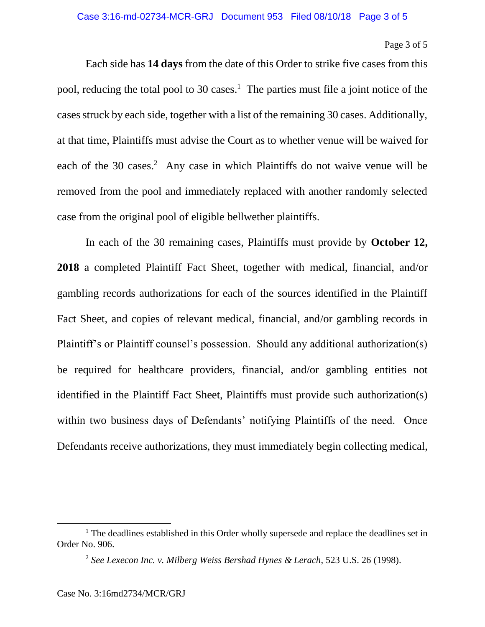### Page 3 of 5

Each side has **14 days** from the date of this Order to strike five cases from this pool, reducing the total pool to 30 cases.<sup>1</sup> The parties must file a joint notice of the cases struck by each side, together with a list of the remaining 30 cases. Additionally, at that time, Plaintiffs must advise the Court as to whether venue will be waived for each of the 30 cases.<sup>2</sup> Any case in which Plaintiffs do not waive venue will be removed from the pool and immediately replaced with another randomly selected case from the original pool of eligible bellwether plaintiffs.

In each of the 30 remaining cases, Plaintiffs must provide by **October 12, 2018** a completed Plaintiff Fact Sheet, together with medical, financial, and/or gambling records authorizations for each of the sources identified in the Plaintiff Fact Sheet, and copies of relevant medical, financial, and/or gambling records in Plaintiff's or Plaintiff counsel's possession. Should any additional authorization(s) be required for healthcare providers, financial, and/or gambling entities not identified in the Plaintiff Fact Sheet, Plaintiffs must provide such authorization(s) within two business days of Defendants' notifying Plaintiffs of the need. Once Defendants receive authorizations, they must immediately begin collecting medical,

 $\overline{a}$ 

<sup>&</sup>lt;sup>1</sup> The deadlines established in this Order wholly supersede and replace the deadlines set in Order No. 906.

<sup>2</sup> *See Lexecon Inc. v. Milberg Weiss Bershad Hynes & Lerach*, 523 U.S. 26 (1998).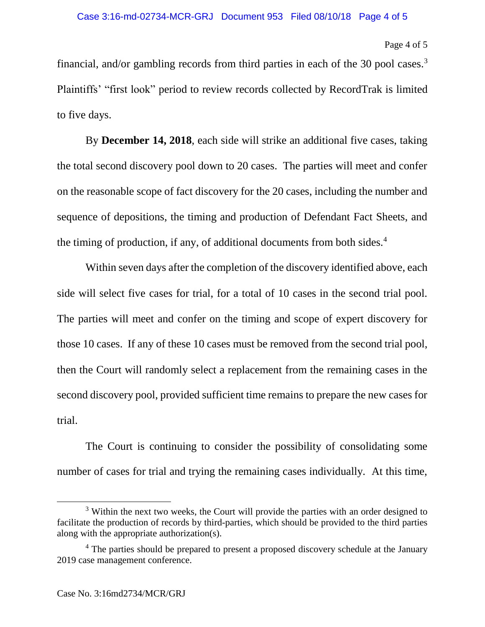#### Page 4 of 5

financial, and/or gambling records from third parties in each of the 30 pool cases. $3$ Plaintiffs' "first look" period to review records collected by RecordTrak is limited to five days.

By **December 14, 2018**, each side will strike an additional five cases, taking the total second discovery pool down to 20 cases. The parties will meet and confer on the reasonable scope of fact discovery for the 20 cases, including the number and sequence of depositions, the timing and production of Defendant Fact Sheets, and the timing of production, if any, of additional documents from both sides.<sup>4</sup>

Within seven days after the completion of the discovery identified above, each side will select five cases for trial, for a total of 10 cases in the second trial pool. The parties will meet and confer on the timing and scope of expert discovery for those 10 cases. If any of these 10 cases must be removed from the second trial pool, then the Court will randomly select a replacement from the remaining cases in the second discovery pool, provided sufficient time remains to prepare the new cases for trial.

The Court is continuing to consider the possibility of consolidating some number of cases for trial and trying the remaining cases individually. At this time,

 $\overline{\phantom{a}}$ 

<sup>&</sup>lt;sup>3</sup> Within the next two weeks, the Court will provide the parties with an order designed to facilitate the production of records by third-parties, which should be provided to the third parties along with the appropriate authorization(s).

<sup>&</sup>lt;sup>4</sup> The parties should be prepared to present a proposed discovery schedule at the January 2019 case management conference.